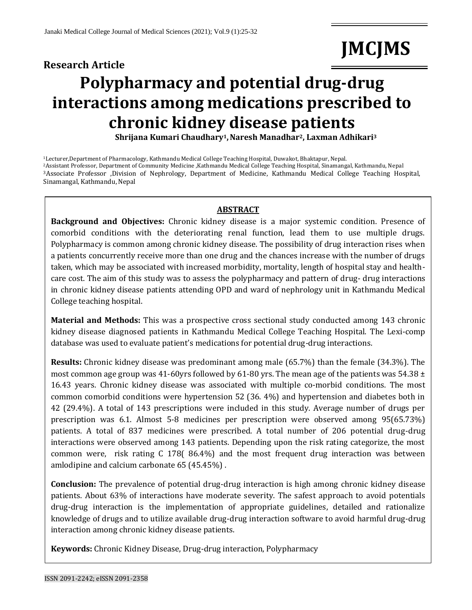## **Research Article**

# **JMCJMS**

# **Polypharmacy and potential drug-drug interactions among medications prescribed to chronic kidney disease patients**

**Shrijana Kumari Chaudhary1,Naresh Manadhar2, Laxman Adhikari<sup>3</sup>**

Lecturer,Department of Pharmacology, Kathmandu Medical College Teaching Hospital, Duwakot, Bhaktapur, Nepal. Assistant Professor, Department of Community Medicine ,Kathmandu Medical College Teaching Hospital, Sinamangal, Kathmandu, Nepal Associate Professor ,Division of Nephrology, Department of Medicine, Kathmandu Medical College Teaching Hospital, Sinamangal, Kathmandu, Nepal

#### **ABSTRACT**

**Background and Objectives:** Chronic kidney disease is a major systemic condition. Presence of comorbid conditions with the deteriorating renal function, lead them to use multiple drugs. Polypharmacy is common among chronic kidney disease. The possibility of drug interaction rises when a patients concurrently receive more than one drug and the chances increase with the number of drugs taken, which may be associated with increased morbidity, mortality, length of hospital stay and healthcare cost. The aim of this study was to assess the polypharmacy and pattern of drug- drug interactions in chronic kidney disease patients attending OPD and ward of nephrology unit in Kathmandu Medical College teaching hospital.

**Material and Methods:** This was a prospective cross sectional study conducted among 143 chronic kidney disease diagnosed patients in Kathmandu Medical College Teaching Hospital. The Lexi-comp database was used to evaluate patient's medications for potential drug-drug interactions.

**Results:** Chronic kidney disease was predominant among male (65.7%) than the female (34.3%). The most common age group was 41-60yrs followed by 61-80 yrs. The mean age of the patients was 54.38  $\pm$ 16.43 years. Chronic kidney disease was associated with multiple co-morbid conditions. The most common comorbid conditions were hypertension 52 (36. 4%) and hypertension and diabetes both in 42 (29.4%). A total of 143 prescriptions were included in this study. Average number of drugs per prescription was 6.1. Almost 5-8 medicines per prescription were observed among 95(65.73%) patients. A total of 837 medicines were prescribed. A total number of 206 potential drug-drug interactions were observed among 143 patients. Depending upon the risk rating categorize, the most common were, risk rating C 178( 86.4%) and the most frequent drug interaction was between amlodipine and calcium carbonate 65 (45.45%) .

**Conclusion:** The prevalence of potential drug-drug interaction is high among chronic kidney disease patients. About 63% of interactions have moderate severity. The safest approach to avoid potentials drug-drug interaction is the implementation of appropriate guidelines, detailed and rationalize knowledge of drugs and to utilize available drug-drug interaction software to avoid harmful drug-drug interaction among chronic kidney disease patients.

**Keywords:** Chronic Kidney Disease, Drug-drug interaction, Polypharmacy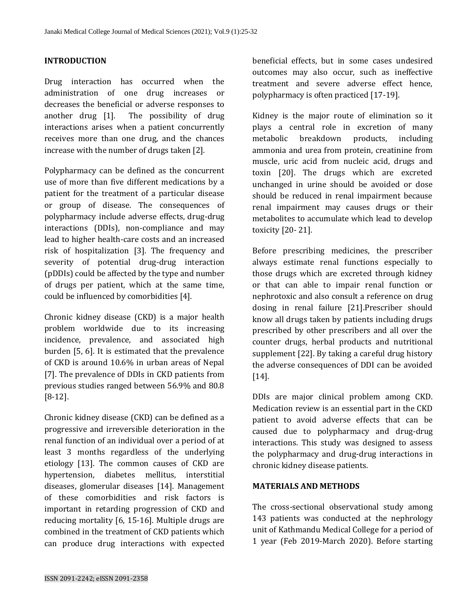### **INTRODUCTION**

Drug interaction has occurred when the administration of one drug increases or decreases the beneficial or adverse responses to another drug [1]. The possibility of drug interactions arises when a patient concurrently receives more than one drug, and the chances increase with the number of drugs taken [2].

Polypharmacy can be defined as the concurrent use of more than five different medications by a patient for the treatment of a particular disease or group of disease. The consequences of polypharmacy include adverse effects, drug-drug interactions (DDIs), non-compliance and may lead to higher health-care costs and an increased risk of hospitalization [3]. The frequency and severity of potential drug-drug interaction (pDDIs) could be affected by the type and number of drugs per patient, which at the same time, could be influenced by comorbidities [4].

Chronic kidney disease (CKD) is a major health problem worldwide due to its increasing incidence, prevalence, and associated high burden [5, 6]. It is estimated that the prevalence of CKD is around 10.6% in urban areas of Nepal [7]. The prevalence of DDIs in CKD patients from previous studies ranged between 56.9% and 80.8 [8-12].

Chronic kidney disease (CKD) can be defined as a progressive and irreversible deterioration in the renal function of an individual over a period of at least 3 months regardless of the underlying etiology [13]. The common causes of CKD are hypertension, diabetes mellitus, interstitial diseases, glomerular diseases [14]. Management of these comorbidities and risk factors is important in retarding progression of CKD and reducing mortality [6, 15-16]. Multiple drugs are combined in the treatment of CKD patients which can produce drug interactions with expected

beneficial effects, but in some cases undesired outcomes may also occur, such as ineffective treatment and severe adverse effect hence, polypharmacy is often practiced [17-19].

Kidney is the major route of elimination so it plays a central role in excretion of many metabolic breakdown products, including ammonia and urea from protein, creatinine from muscle, uric acid from nucleic acid, drugs and toxin [20]. The drugs which are excreted unchanged in urine should be avoided or dose should be reduced in renal impairment because renal impairment may causes drugs or their metabolites to accumulate which lead to develop toxicity [20- 21].

Before prescribing medicines, the prescriber always estimate renal functions especially to those drugs which are excreted through kidney or that can able to impair renal function or nephrotoxic and also consult a reference on drug dosing in renal failure [21].Prescriber should know all drugs taken by patients including drugs prescribed by other prescribers and all over the counter drugs, herbal products and nutritional supplement [22]. By taking a careful drug history the adverse consequences of DDI can be avoided [14].

DDIs are major clinical problem among CKD. Medication review is an essential part in the CKD patient to avoid adverse effects that can be caused due to polypharmacy and drug-drug interactions. This study was designed to assess the polypharmacy and drug-drug interactions in chronic kidney disease patients.

#### **MATERIALS AND METHODS**

The cross-sectional observational study among 143 patients was conducted at the nephrology unit of Kathmandu Medical College for a period of 1 year (Feb 2019-March 2020). Before starting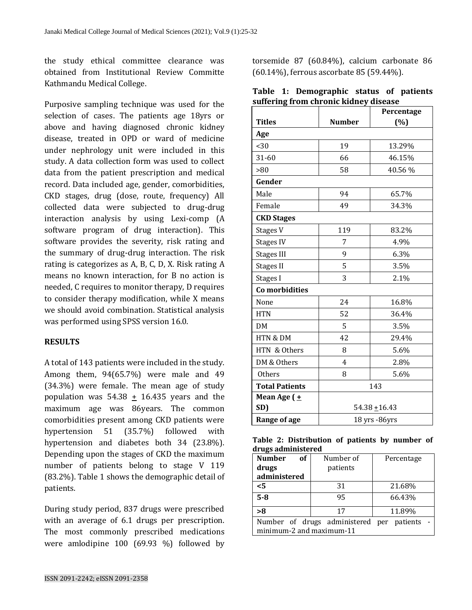the study ethical committee clearance was obtained from Institutional Review Committe Kathmandu Medical College.

Purposive sampling technique was used for the selection of cases. The patients age 18yrs or above and having diagnosed chronic kidney disease, treated in OPD or ward of medicine under nephrology unit were included in this study. A data collection form was used to collect data from the patient prescription and medical record. Data included age, gender, comorbidities, CKD stages, drug (dose, route, frequency) All collected data were subjected to drug-drug interaction analysis by using Lexi-comp (A software program of drug interaction). This software provides the severity, risk rating and the summary of drug-drug interaction. The risk rating is categorizes as A, B, C, D, X. Risk rating A means no known interaction, for B no action is needed, C requires to monitor therapy, D requires to consider therapy modification, while X means we should avoid combination. Statistical analysis was performed using SPSS version 16.0.

## **RESULTS**

A total of 143 patients were included in the study. Among them, 94(65.7%) were male and 49 (34.3%) were female. The mean age of study population was  $54.38 \pm 16.435$  years and the maximum age was 86years. The common comorbidities present among CKD patients were hypertension 51 (35.7%) followed with hypertension and diabetes both 34 (23.8%). Depending upon the stages of CKD the maximum number of patients belong to stage V 119 (83.2%). Table 1 shows the demographic detail of patients.

During study period, 837 drugs were prescribed with an average of 6.1 drugs per prescription. The most commonly prescribed medications were amlodipine 100 (69.93 %) followed by torsemide 87 (60.84%), calcium carbonate 86 (60.14%), ferrous ascorbate 85 (59.44%).

|                                       |  | Table 1: Demographic status of patients |  |  |  |  |
|---------------------------------------|--|-----------------------------------------|--|--|--|--|
| suffering from chronic kidney disease |  |                                         |  |  |  |  |

|                       |                 | Percentage |  |  |  |
|-----------------------|-----------------|------------|--|--|--|
| <b>Titles</b>         | <b>Number</b>   | (%)        |  |  |  |
| Age                   |                 |            |  |  |  |
| $30$                  | 19              | 13.29%     |  |  |  |
| $31 - 60$             | 66              | 46.15%     |  |  |  |
| >80                   | 58              | 40.56%     |  |  |  |
| Gender                |                 |            |  |  |  |
| Male                  | 94              | 65.7%      |  |  |  |
| Female                | 49              | 34.3%      |  |  |  |
| <b>CKD Stages</b>     |                 |            |  |  |  |
| Stages V              | 119             | 83.2%      |  |  |  |
| <b>Stages IV</b>      | 7               | 4.9%       |  |  |  |
| <b>Stages III</b>     | 9               | 6.3%       |  |  |  |
| <b>Stages II</b>      | 5               | 3.5%       |  |  |  |
| Stages I              | 3               | 2.1%       |  |  |  |
| Co morbidities        |                 |            |  |  |  |
| None                  | 24              | 16.8%      |  |  |  |
| <b>HTN</b>            | 52              | 36.4%      |  |  |  |
| DM                    | 5               | 3.5%       |  |  |  |
| HTN & DM              | 42              | 29.4%      |  |  |  |
| HTN & Others          | 8               | 5.6%       |  |  |  |
| DM & Others           | 4               | 2.8%       |  |  |  |
| <b>Others</b>         | 8               | 5.6%       |  |  |  |
| <b>Total Patients</b> | 143             |            |  |  |  |
| Mean Age (±           |                 |            |  |  |  |
| SD)                   | $54.38 + 16.43$ |            |  |  |  |
| <b>Range of age</b>   | 18 yrs -86yrs   |            |  |  |  |

|  | Table 2: Distribution of patients by number of |  |  |  |
|--|------------------------------------------------|--|--|--|
|  | drugs administered                             |  |  |  |

| <b>Number</b><br>of<br>drugs<br>administered                          | Number of<br>patients | Percentage |  |  |  |
|-----------------------------------------------------------------------|-----------------------|------------|--|--|--|
| <5                                                                    | 31                    | 21.68%     |  |  |  |
| $5 - 8$                                                               | 95                    | 66.43%     |  |  |  |
| >8                                                                    | 17                    | 11.89%     |  |  |  |
| Number of drugs administered per patients<br>minimum-2 and maximum-11 |                       |            |  |  |  |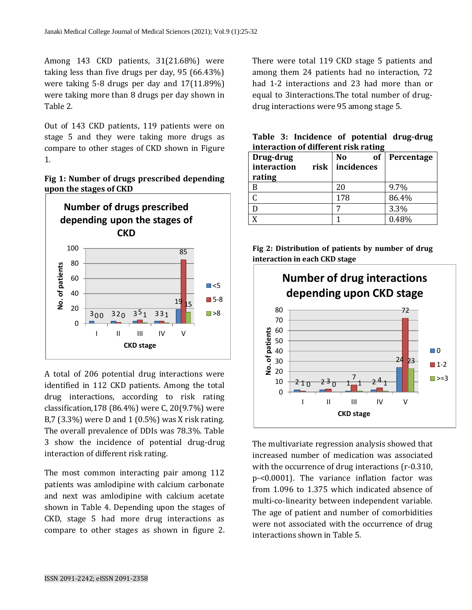Among 143 CKD patients, 31(21.68%) were taking less than five drugs per day, 95 (66.43%) were taking 5-8 drugs per day and 17(11.89%) were taking more than 8 drugs per day shown in Table 2.

Out of 143 CKD patients, 119 patients were on stage 5 and they were taking more drugs as compare to other stages of CKD shown in Figure 1.





A total of 206 potential drug interactions were identified in 112 CKD patients. Among the total drug interactions, according to risk rating classification,178 (86.4%) were C, 20(9.7%) were B,7 (3.3%) were D and 1 (0.5%) was X risk rating. The overall prevalence of DDIs was 78.3%. Table 3 show the incidence of potential drug-drug interaction of different risk rating.

The most common interacting pair among 112 patients was amlodipine with calcium carbonate and next was amlodipine with calcium acetate shown in Table 4. Depending upon the stages of CKD, stage 5 had more drug interactions as compare to other stages as shown in figure 2. There were total 119 CKD stage 5 patients and among them 24 patients had no interaction, 72 had 1-2 interactions and 23 had more than or equal to 3interactions.The total number of drugdrug interactions were 95 among stage 5.

| Drug-drug<br>interaction<br>risk<br>rating | of<br>No<br>incidences | Percentage |
|--------------------------------------------|------------------------|------------|
|                                            | 20                     | 9.7%       |
|                                            | 178                    | 86.4%      |
|                                            |                        | 3.3%       |
|                                            |                        | 0.48%      |

**Table 3: Incidence of potential drug-drug interaction of different risk rating**

**Fig 2: Distribution of patients by number of drug interaction in each CKD stage** 



The multivariate regression analysis showed that increased number of medication was associated with the occurrence of drug interactions (r-0.310, p-<0.0001). The variance inflation factor was from 1.096 to 1.375 which indicated absence of multi-co-linearity between independent variable. The age of patient and number of comorbidities were not associated with the occurrence of drug interactions shown in Table 5.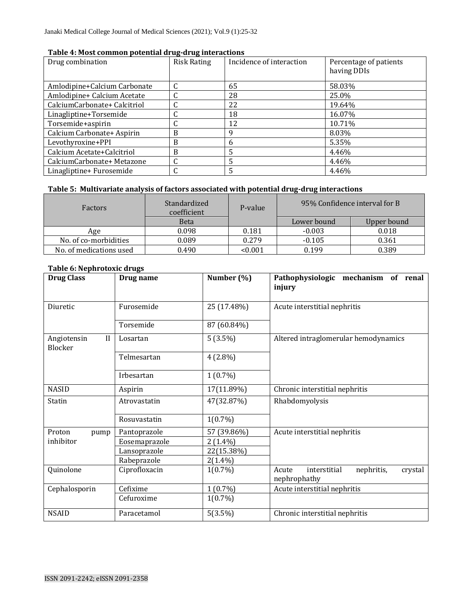| Table 4: Most common potential drug-drug interactions |  |
|-------------------------------------------------------|--|
|-------------------------------------------------------|--|

| Drug combination             | <b>Risk Rating</b> | Incidence of interaction | Percentage of patients<br>having DDIs |
|------------------------------|--------------------|--------------------------|---------------------------------------|
| Amlodipine+Calcium Carbonate |                    | 65                       | 58.03%                                |
| Amlodipine+ Calcium Acetate  |                    | 28                       | 25.0%                                 |
| CalciumCarbonate+ Calcitriol |                    | 22                       | 19.64%                                |
| Linagliptine+Torsemide       |                    | 18                       | 16.07%                                |
| Torsemide+aspirin            |                    | 12                       | 10.71%                                |
| Calcium Carbonate+ Aspirin   | B                  | 9                        | 8.03%                                 |
| Levothyroxine+PPI            | B                  | 6                        | 5.35%                                 |
| Calcium Acetate+Calcitriol   | B                  | 5                        | 4.46%                                 |
| CalciumCarbonate+ Metazone   |                    | 5                        | 4.46%                                 |
| Linagliptine+ Furosemide     |                    | 5                        | 4.46%                                 |

## **Table 5: Multivariate analysis of factors associated with potential drug-drug interactions**

| Factors                 | Standardized<br>P-value<br>coefficient |         | 95% Confidence interval for B |             |
|-------------------------|----------------------------------------|---------|-------------------------------|-------------|
|                         | <b>Beta</b>                            |         | Lower bound                   | Upper bound |
| Age                     | 0.098                                  | 0.181   | $-0.003$                      | 0.018       |
| No. of co-morbidities   | 0.089                                  | 0.279   | $-0.105$                      | 0.361       |
| No. of medications used | 0.490                                  | < 0.001 | 0.199                         | 0.389       |

#### **Table 6: Nephrotoxic drugs**

| <b>Drug Class</b>                      | Drug name     | Number (%)  | Pathophysiologic mechanism of renal<br>injury                  |
|----------------------------------------|---------------|-------------|----------------------------------------------------------------|
| Diuretic                               | Furosemide    | 25 (17.48%) | Acute interstitial nephritis                                   |
|                                        | Torsemide     | 87 (60.84%) |                                                                |
| $\mathbf{I}$<br>Angiotensin<br>Blocker | Losartan      | $5(3.5\%)$  | Altered intraglomerular hemodynamics                           |
|                                        | Telmesartan   | $4(2.8\%)$  |                                                                |
|                                        | Irbesartan    | $1(0.7\%)$  |                                                                |
| <b>NASID</b>                           | Aspirin       | 17(11.89%)  | Chronic interstitial nephritis                                 |
| Statin                                 | Atrovastatin  | 47(32.87%)  | Rhabdomyolysis                                                 |
|                                        | Rosuvastatin  | $1(0.7\%)$  |                                                                |
| Proton<br>pump                         | Pantoprazole  | 57 (39.86%) | Acute interstitial nephritis                                   |
| inhibitor                              | Eosemaprazole | $2(1.4\%)$  |                                                                |
|                                        | Lansoprazole  | 22(15.38%)  |                                                                |
|                                        | Rabeprazole   | $2(1.4\%)$  |                                                                |
| Quinolone                              | Ciprofloxacin | $1(0.7\%)$  | interstitial<br>nephritis,<br>Acute<br>crystal<br>nephrophathy |
| Cephalosporin                          | Cefixime      | $1(0.7\%)$  | Acute interstitial nephritis                                   |
|                                        | Cefuroxime    | $1(0.7\%)$  |                                                                |
| <b>NSAID</b>                           | Paracetamol   | 5(3.5%)     | Chronic interstitial nephritis                                 |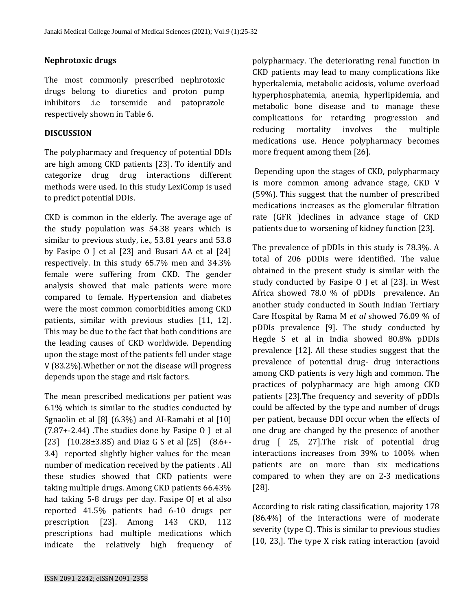### **Nephrotoxic drugs**

The most commonly prescribed nephrotoxic drugs belong to diuretics and proton pump inhibitors .i.e torsemide and patoprazole respectively shown in Table 6.

### **DISCUSSION**

The polypharmacy and frequency of potential DDIs are high among CKD patients [23]. To identify and categorize drug drug interactions different methods were used. In this study LexiComp is used to predict potential DDIs.

CKD is common in the elderly. The average age of the study population was 54.38 years which is similar to previous study, i.e., 53.81 years and 53.8 by Fasipe O J et al [23] and Busari AA et al [24] respectively. In this study 65.7% men and 34.3% female were suffering from CKD. The gender analysis showed that male patients were more compared to female. Hypertension and diabetes were the most common comorbidities among CKD patients, similar with previous studies [11, 12]. This may be due to the fact that both conditions are the leading causes of CKD worldwide. Depending upon the stage most of the patients fell under stage V (83.2%).Whether or not the disease will progress depends upon the stage and risk factors.

The mean prescribed medications per patient was 6.1% which is similar to the studies conducted by Sgnaolin et al [8] (6.3%) and AI-Ramahi et al [10]  $(7.87+-2.44)$ . The studies done by Fasipe O J et al [23] (10.28±3.85) and Diaz G S et al [25] (8.6+- 3.4) reported slightly higher values for the mean number of medication received by the patients . All these studies showed that CKD patients were taking multiple drugs. Among CKD patients 66.43% had taking 5-8 drugs per day. Fasipe OJ et al also reported 41.5% patients had 6-10 drugs per prescription [23]. Among 143 CKD, 112 prescriptions had multiple medications which indicate the relatively high frequency of polypharmacy. The deteriorating renal function in CKD patients may lead to many complications like hyperkalemia, metabolic acidosis, volume overload hyperphosphatemia, anemia, hyperlipidemia, and metabolic bone disease and to manage these complications for retarding progression and reducing mortality involves the multiple medications use. Hence polypharmacy becomes more frequent among them [26].

Depending upon the stages of CKD, polypharmacy is more common among advance stage, CKD V (59%). This suggest that the number of prescribed medications increases as the glomerular filtration rate (GFR )declines in advance stage of CKD patients due to worsening of kidney function [23].

The prevalence of pDDIs in this study is 78.3%. A total of 206 pDDIs were identified. The value obtained in the present study is similar with the study conducted by Fasipe O J et al [23]. in West Africa showed 78.0 % of pDDIs prevalence. An another study conducted in South Indian Tertiary Care Hospital by Rama M *et al* showed 76.09 % of pDDIs prevalence [9]. The study conducted by Hegde S et al in India showed 80.8% pDDIs prevalence [12]. All these studies suggest that the prevalence of potential drug- drug interactions among CKD patients is very high and common. The practices of polypharmacy are high among CKD patients [23].The frequency and severity of pDDIs could be affected by the type and number of drugs per patient, because DDI occur when the effects of one drug are changed by the presence of another drug [ 25, 27].The risk of potential drug interactions increases from 39% to 100% when patients are on more than six medications compared to when they are on 2-3 medications [28].

According to risk rating classification, majority 178 (86.4%) of the interactions were of moderate severity (type C). This is similar to previous studies [10, 23,]. The type X risk rating interaction (avoid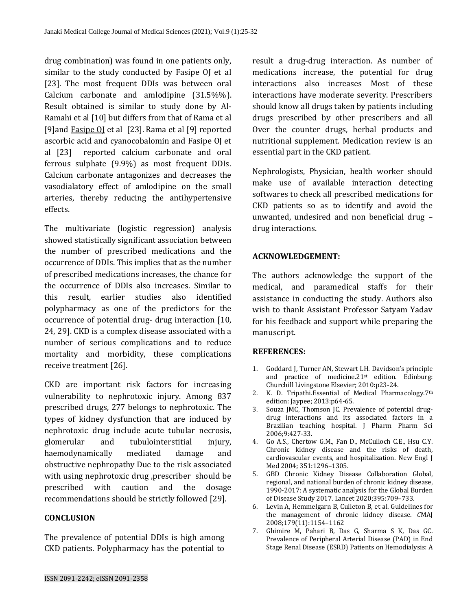drug combination) was found in one patients only, similar to the study conducted by Fasipe OJ et al [23]. The most frequent DDIs was between oral Calcium carbonate and amlodipine (31.5%%). Result obtained is similar to study done by Al-Ramahi et al [10] but differs from that of Rama et al [9]and [Fasipe OJ](https://orcid.org/0000-0001-8761-1709) et al [23]. Rama et al [9] reported ascorbic acid and cyanocobalomin and Fasipe OJ et al [23] reported calcium carbonate and oral ferrous sulphate (9.9%) as most frequent DDIs. Calcium carbonate antagonizes and decreases the vasodialatory effect of amlodipine on the small arteries, thereby reducing the antihypertensive effects.

The multivariate (logistic regression) analysis showed statistically significant association between the number of prescribed medications and the occurrence of DDIs. This implies that as the number of prescribed medications increases, the chance for the occurrence of DDIs also increases. Similar to this result, earlier studies also identified polypharmacy as one of the predictors for the occurrence of potential drug- drug interaction [10, 24, 29]. CKD is a complex disease associated with a number of serious complications and to reduce mortality and morbidity, these complications receive treatment [26].

CKD are important risk factors for increasing vulnerability to nephrotoxic injury. Among 837 prescribed drugs, 277 belongs to nephrotoxic. The types of kidney dysfunction that are induced by nephrotoxic drug include acute tubular necrosis, glomerular and tubulointerstitial injury, haemodynamically mediated damage and obstructive nephropathy Due to the risk associated with using nephrotoxic drug ,prescriber should be prescribed with caution and the dosage recommendations should be strictly followed [29].

#### **CONCLUSION**

The prevalence of potential DDIs is high among CKD patients. Polypharmacy has the potential to

result a drug-drug interaction. As number of medications increase, the potential for drug interactions also increases Most of these interactions have moderate severity. Prescribers should know all drugs taken by patients including drugs prescribed by other prescribers and all Over the counter drugs, herbal products and nutritional supplement. Medication review is an essential part in the CKD patient.

Nephrologists, Physician, health worker should make use of available interaction detecting softwares to check all prescribed medications for CKD patients so as to identify and avoid the unwanted, undesired and non beneficial drug – drug interactions.

## **ACKNOWLEDGEMENT:**

The authors acknowledge the support of the medical, and paramedical staffs for their assistance in conducting the study. Authors also wish to thank Assistant Professor Satyam Yadav for his feedback and support while preparing the manuscript.

#### **REFERENCES:**

- 1. Goddard J, Turner AN, Stewart LH. Davidson's principle and practice of medicine.21st edition. Edinburg: Churchill Livingstone Elsevier; 2010:p23-24.
- 2. K. D. Tripathi.Essential of Medical Pharmacology.7th edition: Jaypee; 2013:p64-65.
- 3. Souza JMC, Thomson JC. Prevalence of potential drugdrug interactions and its associated factors in a Brazilian teaching hospital. J Pharm Pharm Sci 2006;9:427-33.
- 4. Go A.S., Chertow G.M., Fan D., McCulloch C.E., Hsu C.Y. Chronic kidney disease and the risks of death, cardiovascular events, and hospitalization. New Engl J Med 2004; 351:1296–1305.
- 5. GBD Chronic Kidney Disease Collaboration Global, regional, and national burden of chronic kidney disease, 1990-2017: A systematic analysis for the Global Burden of Disease Study 2017. Lancet 2020;395:709–733.
- 6. Levin A, Hemmelgarn B, Culleton B, et al. Guidelines for the management of chronic kidney disease. *C*MAJ 2008;179(11):1154–1162
- 7. Ghimire M, Pahari B, Das G, Sharma S K, Das GC. Prevalence of Peripheral Arterial Disease (PAD) in End Stage Renal Disease (ESRD) Patients on Hemodialysis: A